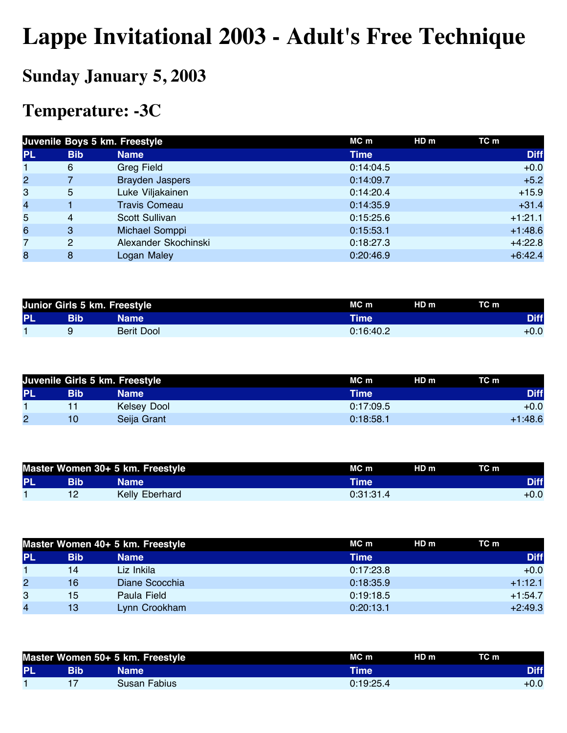## **Lappe Invitational 2003 - Adult's Free Technique**

## **Sunday January 5, 2003**

## **Temperature: -3C**

|                |            | Juvenile Boys 5 km. Freestyle | $MC$ m      | HD <sub>m</sub> | TC m        |
|----------------|------------|-------------------------------|-------------|-----------------|-------------|
| <b>PL</b>      | <b>Bib</b> | <b>Name</b>                   | <b>Time</b> |                 | <b>Diff</b> |
| 1              | 6          | <b>Greg Field</b>             | 0:14:04.5   |                 | $+0.0$      |
| $\overline{2}$ |            | <b>Brayden Jaspers</b>        | 0:14:09.7   |                 | $+5.2$      |
| 3              | 5          | Luke Viljakainen              | 0:14:20.4   |                 | $+15.9$     |
| 4              |            | <b>Travis Comeau</b>          | 0:14:35.9   |                 | $+31.4$     |
| 5              | 4          | Scott Sullivan                | 0:15:25.6   |                 | $+1:21.1$   |
| 6              | 3          | Michael Somppi                | 0:15:53.1   |                 | $+1:48.6$   |
| 7              | 2          | Alexander Skochinski          | 0:18:27.3   |                 | $+4:22.8$   |
| 8              | 8          | Logan Maley                   | 0:20:46.9   |                 | $+6:42.4$   |

|           |          | Junior Girls 5 km. Freestyle | HD <sub>m</sub><br>MC m | TC m        |
|-----------|----------|------------------------------|-------------------------|-------------|
| <b>PL</b> | Bib      | Name                         | Time                    | <b>Diff</b> |
|           | <b>u</b> | <b>Berit Dool</b>            | 0:16:40.2               | $+0.0$      |

|    |                 | Juvenile Girls 5 km. Freestyle | HD m<br>MC m | TC m        |
|----|-----------------|--------------------------------|--------------|-------------|
| PL | <b>Bib</b>      | Name                           | <b>Time</b>  | <b>Diff</b> |
|    |                 | Kelsey Dool                    | 0:17:09.5    | $+0.0$      |
| 2  | 10 <sup>°</sup> | Seija Grant                    | 0:18:58.1    | $+1:48.6$   |

|           |     | Master Women 30+ 5 km. Freestyle | MC <sub>m</sub> | HD m | TC m        |
|-----------|-----|----------------------------------|-----------------|------|-------------|
| <b>PL</b> | Bib | Name '                           | Time'           |      | <b>Diff</b> |
|           |     | Kelly Eberhard                   | 0:31:31.4       |      | $+0.0$      |

|              |     | Master Women 40+ 5 km. Freestyle | MC m<br>HD m  | TC m        |
|--------------|-----|----------------------------------|---------------|-------------|
| <b>PL</b>    | Bib | <b>Name</b>                      | Time <b>\</b> | <b>Diff</b> |
|              | 14  | Liz Inkila                       | 0:17:23.8     | $+0.0$      |
| $\mathbf{2}$ | 16  | Diane Scocchia                   | 0:18:35.9     | $+1:12.1$   |
| 3            | 15  | Paula Field                      | 0:19:18.5     | $+1:54.7$   |
| 4            | 13  | Lynn Crookham                    | 0:20:13.1     | $+2:49.3$   |

|           |     | Master Women 50+ 5 km. Freestyle | MC m      | HD m | TC m        |
|-----------|-----|----------------------------------|-----------|------|-------------|
| <b>PL</b> | Bib | <b>Name</b>                      | Time      |      | <b>Diff</b> |
|           |     | Susan Fabius                     | 0:19:25.4 |      | $+0.0$      |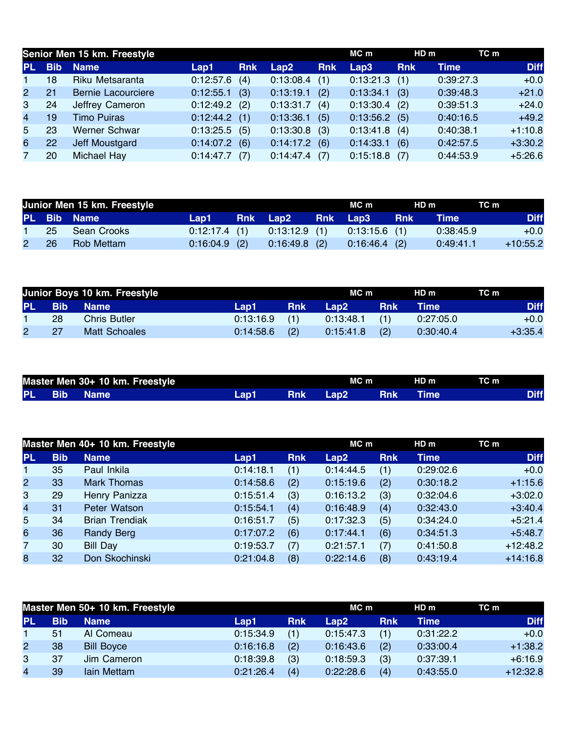|                |            | Senior Men 15 km. Freestyle |           |            |                 |            | MC m      | HD <sub>m</sub> | TC m      |             |
|----------------|------------|-----------------------------|-----------|------------|-----------------|------------|-----------|-----------------|-----------|-------------|
| <b>PL</b>      | <b>Bib</b> | <b>Name</b>                 | Lap1      | <b>Rnk</b> | Lap2            | <b>Rnk</b> | Lap3      | <b>Rnk</b>      | Time      | <b>Diff</b> |
| $\mathbf 1$    | 18         | Riku Metsaranta             | 0:12:57.6 | (4)        | 0:13:08.4       | (1)        | 0:13:21.3 | (1)             | 0:39:27.3 | $+0.0$      |
| $\mathbf{2}$   | 21         | <b>Bernie Lacourciere</b>   | 0:12:55.1 | (3)        | 0:13:19.1       | (2)        | 0:13:34.1 | (3)             | 0:39:48.3 | $+21.0$     |
| 3              | 24         | Jeffrey Cameron             | 0:12:49.2 | (2)        | 0:13:31.7       | (4)        | 0:13:30.4 | (2)             | 0:39:51.3 | $+24.0$     |
| $\overline{4}$ | 19         | <b>Timo Puiras</b>          | 0:12:44.2 | (1)        | 0:13:36.1       | (5)        | 0:13:56.2 | (5)             | 0:40:16.5 | $+49.2$     |
| 5              | 23         | <b>Werner Schwar</b>        | 0:13:25.5 | (5)        | $0:13:30.8$ (3) |            | 0:13:41.8 | (4)             | 0:40:38.1 | $+1:10.8$   |
| 6              | 22         | <b>Jeff Moustgard</b>       | 0:14:07.2 | (6)        | $0:14:17.2$ (6) |            | 0:14:33.1 | (6)             | 0:42:57.5 | $+3:30.2$   |
| $7^{\circ}$    | 20         | Michael Hay                 | 0:14:47.7 | (7)        | $0:14:47.4$ (7) |            | 0:15:18.8 | (7)             | 0:44:53.9 | $+5:26.6$   |

|             | Junior Men 15 km. Freestyle |                 |  | MC m                                            | HD m | TC m        |             |
|-------------|-----------------------------|-----------------|--|-------------------------------------------------|------|-------------|-------------|
|             | PL Bib Name                 |                 |  | Lap1 Rnk Lap2 Rnk Lap3 Rnk                      |      | <b>Time</b> | <b>Diff</b> |
| $\mathbf 1$ | 25 Sean Crooks              |                 |  | $0:12:17.4$ (1) $0:13:12.9$ (1) $0:13:15.6$ (1) |      | 0:38:45.9   | $+0.0$      |
|             | 2 26 Rob Mettam             | $0:16:04.9$ (2) |  | $0.16.49.8$ (2) $0.16.46.4$ (2)                 |      | 0:49:41.1   | $+10:55.2$  |

|        |    | Junior Boys 10 km. Freestyle |           |            | MC m        |            | HD m        | TC m        |
|--------|----|------------------------------|-----------|------------|-------------|------------|-------------|-------------|
| PL Bib |    | <b>Name</b>                  | Lap1,     | <b>Rnk</b> | <b>Lap2</b> | <b>Rnk</b> | <b>Time</b> | <b>Diff</b> |
|        | 28 | <b>Chris Butler</b>          | 0:13:16.9 | (1)        | 0:13:48.1   | (1)        | 0:27:05.0   | $+0.0$      |
|        |    | Matt Schoales                | 0:14:58.6 | (2)        | 0:15:41.8   | (2)        | 0:30:40.4   | $+3:35.4$   |

|  | Master Men 30+ 10 km. Freestyle |       |            | $MC$ m   |        | HD m        | TC m |      |
|--|---------------------------------|-------|------------|----------|--------|-------------|------|------|
|  | <b>PL Bib Name</b>              | Lap1. | <b>Rnk</b> | □ Lap2 □ | ⊟ Rnk∶ | <b>Time</b> |      | Diff |

|                         |            | Master Men 40+ 10 km. Freestyle |           |            | MC m      |            | HD m      | TC m        |
|-------------------------|------------|---------------------------------|-----------|------------|-----------|------------|-----------|-------------|
| <b>PL</b>               | <b>Bib</b> | <b>Name</b>                     | Lap1      | <b>Rnk</b> | Lap2      | <b>Rnk</b> | Time      | <b>Diff</b> |
| $\blacksquare$          | 35         | Paul Inkila                     | 0:14:18.1 | (1)        | 0:14:44.5 | (1)        | 0:29:02.6 | $+0.0$      |
| $\overline{2}$          | 33         | <b>Mark Thomas</b>              | 0:14:58.6 | (2)        | 0:15:19.6 | (2)        | 0:30:18.2 | $+1:15.6$   |
| 3                       | 29         | Henry Panizza                   | 0:15:51.4 | (3)        | 0:16:13.2 | (3)        | 0:32:04.6 | $+3:02.0$   |
| $\overline{\mathbf{4}}$ | 31         | Peter Watson                    | 0:15:54.1 | (4)        | 0:16:48.9 | (4)        | 0:32:43.0 | $+3:40.4$   |
| 5                       | 34         | <b>Brian Trendiak</b>           | 0:16:51.7 | (5)        | 0:17:32.3 | (5)        | 0:34:24.0 | $+5:21.4$   |
| 6                       | 36         | <b>Randy Berg</b>               | 0:17:07.2 | (6)        | 0:17:44.1 | (6)        | 0:34:51.3 | $+5:48.7$   |
| $\overline{7}$          | 30         | <b>Bill Day</b>                 | 0:19:53.7 | (7)        | 0:21:57.1 | (7)        | 0:41:50.8 | $+12:48.2$  |
| 8                       | 32         | Don Skochinski                  | 0:21:04.8 | (8)        | 0:22:14.6 | (8)        | 0:43:19.4 | $+14:16.8$  |

| Master Men 50+ 10 km. Freestyle |            |                   |           |            | MC m      |            | HD <sub>m</sub> | TC m        |
|---------------------------------|------------|-------------------|-----------|------------|-----------|------------|-----------------|-------------|
| <b>PL</b>                       | <b>Bib</b> | <b>Name</b>       | Lap1      | <b>Rnk</b> | Lap2      | <b>Rnk</b> | Time            | <b>Diff</b> |
|                                 | 51         | Al Comeau         | 0:15:34.9 | (1)        | 0:15:47.3 | (1)        | 0:31:22.2       | $+0.0$      |
| $\mathbf{2}^{\prime}$           | 38         | <b>Bill Boyce</b> | 0:16:16.8 | (2)        | 0:16:43.6 | (2)        | 0:33:00.4       | $+1:38.2$   |
| $\mathbf{3}$                    | 37         | Jim Cameron       | 0:18:39.8 | (3)        | 0:18:59.3 | (3)        | 0:37:39.1       | $+6:16.9$   |
| $\overline{4}$                  | 39         | lain Mettam       | 0:21:26.4 | (4)        | 0:22:28.6 | (4)        | 0:43:55.0       | $+12:32.8$  |